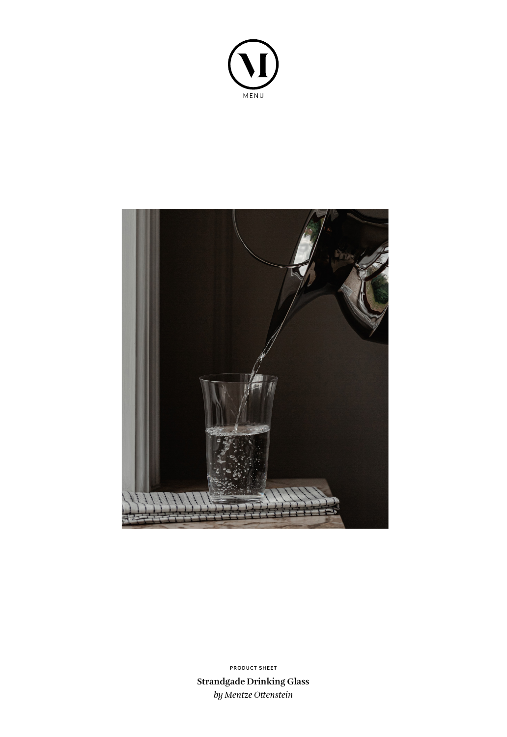



**Strandgade Drinking Glass** *by Mentze Ottenstein* **PRODUCT SHEET**